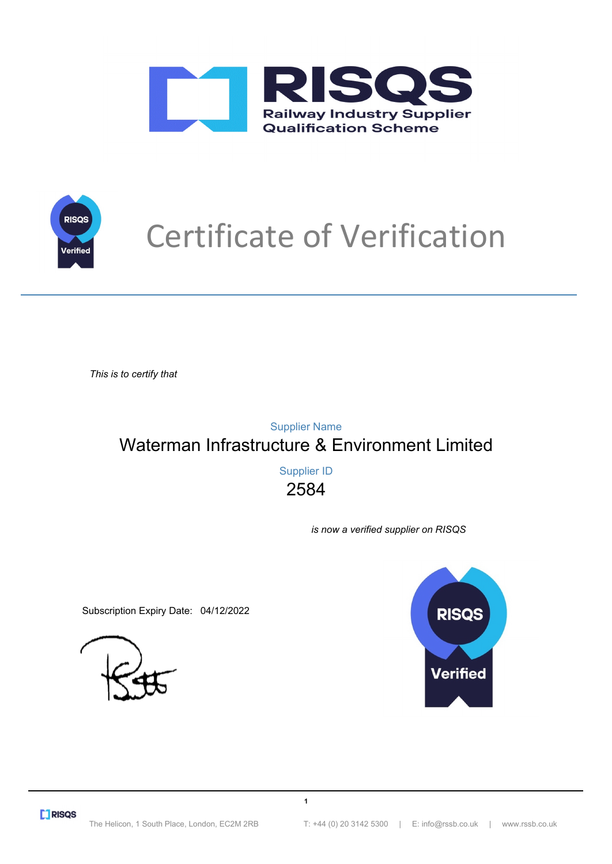



# Certificate of Verification

*This is to certify that*

Waterman Infrastructure & Environment Limited Supplier Name

> 2584 Supplier ID

> > **1**

*is now a verified supplier on RISQS*

Subscription Expiry Date: 04/12/2022



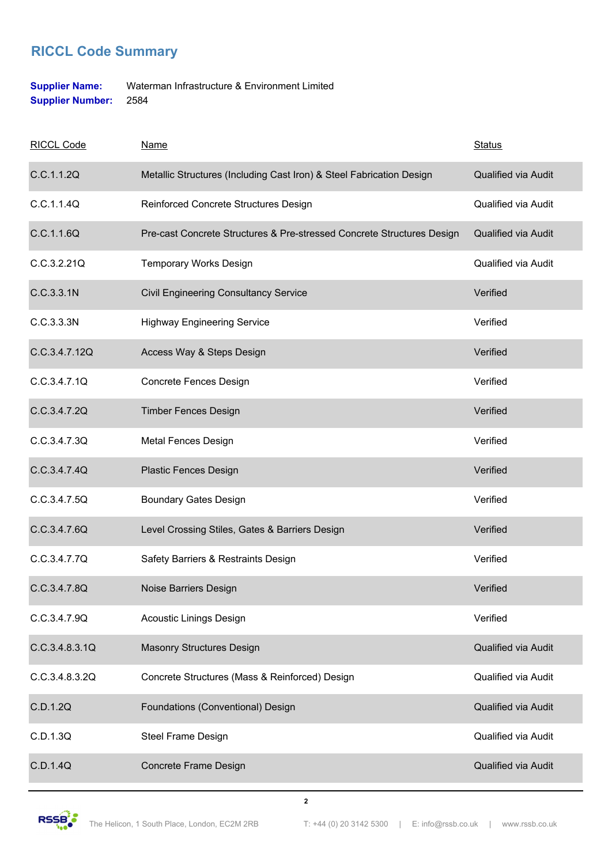### **RICCL Code Summary**

#### **Supplier Name:** Waterman Infrastructure & Environment Limited **Supplier Number:** 2584

| <b>RICCL Code</b> | <b>Name</b>                                                            | <b>Status</b>              |
|-------------------|------------------------------------------------------------------------|----------------------------|
| C.C.1.1.2Q        | Metallic Structures (Including Cast Iron) & Steel Fabrication Design   | Qualified via Audit        |
| C.C.1.1.4Q        | Reinforced Concrete Structures Design                                  | <b>Qualified via Audit</b> |
| C.C.1.1.6Q        | Pre-cast Concrete Structures & Pre-stressed Concrete Structures Design | Qualified via Audit        |
| C.C.3.2.21Q       | <b>Temporary Works Design</b>                                          | Qualified via Audit        |
| C.C.3.3.1N        | <b>Civil Engineering Consultancy Service</b>                           | Verified                   |
| C.C.3.3.3N        | <b>Highway Engineering Service</b>                                     | Verified                   |
| C.C.3.4.7.12Q     | Access Way & Steps Design                                              | Verified                   |
| C.C.3.4.7.1Q      | Concrete Fences Design                                                 | Verified                   |
| C.C.3.4.7.2Q      | <b>Timber Fences Design</b>                                            | Verified                   |
| C.C.3.4.7.3Q      | <b>Metal Fences Design</b>                                             | Verified                   |
| C.C.3.4.7.4Q      | <b>Plastic Fences Design</b>                                           | Verified                   |
| C.C.3.4.7.5Q      | <b>Boundary Gates Design</b>                                           | Verified                   |
| C.C.3.4.7.6Q      | Level Crossing Stiles, Gates & Barriers Design                         | Verified                   |
| C.C.3.4.7.7Q      | Safety Barriers & Restraints Design                                    | Verified                   |
| C.C.3.4.7.8Q      | Noise Barriers Design                                                  | Verified                   |
| C.C.3.4.7.9Q      | <b>Acoustic Linings Design</b>                                         | Verified                   |
| C.C.3.4.8.3.1Q    | <b>Masonry Structures Design</b>                                       | Qualified via Audit        |
| C.C.3.4.8.3.2Q    | Concrete Structures (Mass & Reinforced) Design                         | Qualified via Audit        |
| C.D.1.2Q          | Foundations (Conventional) Design                                      | Qualified via Audit        |
| C.D.1.3Q          | Steel Frame Design                                                     | Qualified via Audit        |
| C.D.1.4Q          | Concrete Frame Design                                                  | Qualified via Audit        |

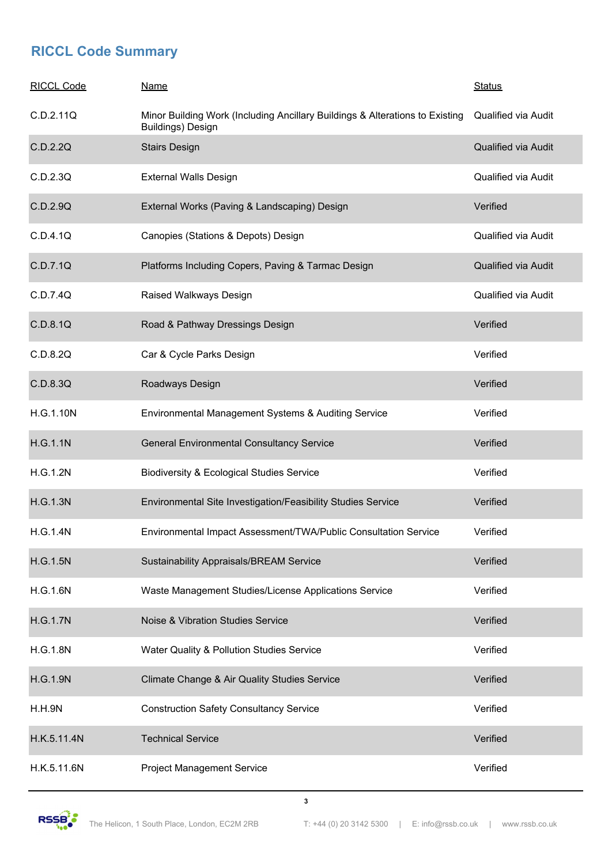## **RICCL Code Summary**

| <b>RICCL Code</b> | <u>Name</u>                                                                                              | <b>Status</b>              |
|-------------------|----------------------------------------------------------------------------------------------------------|----------------------------|
| C.D.2.11Q         | Minor Building Work (Including Ancillary Buildings & Alterations to Existing<br><b>Buildings)</b> Design | Qualified via Audit        |
| C.D.2.2Q          | <b>Stairs Design</b>                                                                                     | <b>Qualified via Audit</b> |
| C.D.2.3Q          | <b>External Walls Design</b>                                                                             | <b>Qualified via Audit</b> |
| C.D.2.9Q          | External Works (Paving & Landscaping) Design                                                             | Verified                   |
| C.D.4.1Q          | Canopies (Stations & Depots) Design                                                                      | <b>Qualified via Audit</b> |
| C.D.7.1Q          | Platforms Including Copers, Paving & Tarmac Design                                                       | Qualified via Audit        |
| C.D.7.4Q          | Raised Walkways Design                                                                                   | Qualified via Audit        |
| C.D.8.1Q          | Road & Pathway Dressings Design                                                                          | Verified                   |
| C.D.8.2Q          | Car & Cycle Parks Design                                                                                 | Verified                   |
| C.D.8.3Q          | Roadways Design                                                                                          | Verified                   |
| H.G.1.10N         | Environmental Management Systems & Auditing Service                                                      | Verified                   |
| H.G.1.1N          | <b>General Environmental Consultancy Service</b>                                                         | Verified                   |
| H.G.1.2N          | Biodiversity & Ecological Studies Service                                                                | Verified                   |
| <b>H.G.1.3N</b>   | Environmental Site Investigation/Feasibility Studies Service                                             | Verified                   |
| H.G.1.4N          | Environmental Impact Assessment/TWA/Public Consultation Service                                          | Verified                   |
| <b>H.G.1.5N</b>   | <b>Sustainability Appraisals/BREAM Service</b>                                                           | Verified                   |
| <b>H.G.1.6N</b>   | Waste Management Studies/License Applications Service                                                    | Verified                   |
| <b>H.G.1.7N</b>   | Noise & Vibration Studies Service                                                                        | Verified                   |
| <b>H.G.1.8N</b>   | Water Quality & Pollution Studies Service                                                                | Verified                   |
| <b>H.G.1.9N</b>   | Climate Change & Air Quality Studies Service                                                             | Verified                   |
| H.H.9N            | <b>Construction Safety Consultancy Service</b>                                                           | Verified                   |
| H.K.5.11.4N       | <b>Technical Service</b>                                                                                 | Verified                   |
| H.K.5.11.6N       | <b>Project Management Service</b>                                                                        | Verified                   |